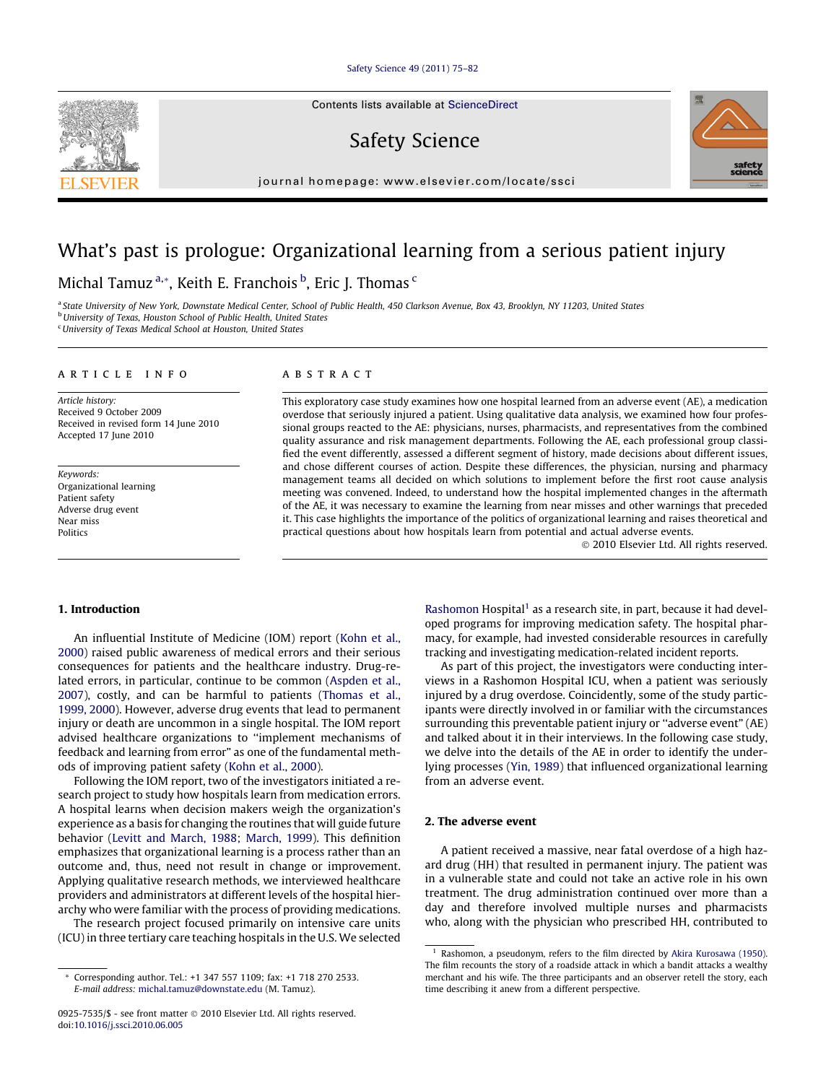# [Safety Science 49 \(2011\) 75–82](http://dx.doi.org/10.1016/j.ssci.2010.06.005)

Contents lists available at [ScienceDirect](http://www.sciencedirect.com/science/journal/09257535)

Safety Science

journal homepage: [www.elsevier.com/locate/ssci](http://www.elsevier.com/locate/ssci)

# What's past is prologue: Organizational learning from a serious patient injury

# Michal Tamuz <sup>a,</sup>\*, Keith E. Franchois <sup>b</sup>, Eric J. Thomas <sup>c</sup>

<sup>a</sup> State University of New York, Downstate Medical Center, School of Public Health, 450 Clarkson Avenue, Box 43, Brooklyn, NY 11203, United States **b** University of Texas, Houston School of Public Health, United States <sup>c</sup>University of Texas Medical School at Houston, United States

# article info

Article history: Received 9 October 2009 Received in revised form 14 June 2010 Accepted 17 June 2010

Keywords: Organizational learning Patient safety Adverse drug event Near miss Politics

# ABSTRACT

This exploratory case study examines how one hospital learned from an adverse event (AE), a medication overdose that seriously injured a patient. Using qualitative data analysis, we examined how four professional groups reacted to the AE: physicians, nurses, pharmacists, and representatives from the combined quality assurance and risk management departments. Following the AE, each professional group classified the event differently, assessed a different segment of history, made decisions about different issues, and chose different courses of action. Despite these differences, the physician, nursing and pharmacy management teams all decided on which solutions to implement before the first root cause analysis meeting was convened. Indeed, to understand how the hospital implemented changes in the aftermath of the AE, it was necessary to examine the learning from near misses and other warnings that preceded it. This case highlights the importance of the politics of organizational learning and raises theoretical and practical questions about how hospitals learn from potential and actual adverse events.

- 2010 Elsevier Ltd. All rights reserved.

#### 1. Introduction

An influential Institute of Medicine (IOM) report [\(Kohn et al.,](#page--1-0) [2000](#page--1-0)) raised public awareness of medical errors and their serious consequences for patients and the healthcare industry. Drug-related errors, in particular, continue to be common ([Aspden et al.,](#page--1-0) [2007](#page--1-0)), costly, and can be harmful to patients [\(Thomas et al.,](#page--1-0) [1999, 2000](#page--1-0)). However, adverse drug events that lead to permanent injury or death are uncommon in a single hospital. The IOM report advised healthcare organizations to ''implement mechanisms of feedback and learning from error" as one of the fundamental methods of improving patient safety ([Kohn et al., 2000](#page--1-0)).

Following the IOM report, two of the investigators initiated a research project to study how hospitals learn from medication errors. A hospital learns when decision makers weigh the organization's experience as a basis for changing the routines that will guide future behavior [\(Levitt and March, 1988; March, 1999\)](#page--1-0). This definition emphasizes that organizational learning is a process rather than an outcome and, thus, need not result in change or improvement. Applying qualitative research methods, we interviewed healthcare providers and administrators at different levels of the hospital hierarchy who were familiar with the process of providing medications.

The research project focused primarily on intensive care units (ICU) in three tertiary care teaching hospitals in the U.S. We selected [Rashomon](#page--1-0) Hospital<sup>1</sup> as a research site, in part, because it had developed programs for improving medication safety. The hospital pharmacy, for example, had invested considerable resources in carefully tracking and investigating medication-related incident reports.

As part of this project, the investigators were conducting interviews in a Rashomon Hospital ICU, when a patient was seriously injured by a drug overdose. Coincidently, some of the study participants were directly involved in or familiar with the circumstances surrounding this preventable patient injury or ''adverse event" (AE) and talked about it in their interviews. In the following case study, we delve into the details of the AE in order to identify the underlying processes [\(Yin, 1989](#page--1-0)) that influenced organizational learning from an adverse event.

#### 2. The adverse event

A patient received a massive, near fatal overdose of a high hazard drug (HH) that resulted in permanent injury. The patient was in a vulnerable state and could not take an active role in his own treatment. The drug administration continued over more than a day and therefore involved multiple nurses and pharmacists who, along with the physician who prescribed HH, contributed to





<sup>\*</sup> Corresponding author. Tel.: +1 347 557 1109; fax: +1 718 270 2533. E-mail address: [michal.tamuz@downstate.edu](mailto:michal.tamuz@downstate.edu) (M. Tamuz).

<sup>0925-7535/\$ -</sup> see front matter © 2010 Elsevier Ltd. All rights reserved. doi[:10.1016/j.ssci.2010.06.005](http://dx.doi.org/10.1016/j.ssci.2010.06.005)

Rashomon, a pseudonym, refers to the film directed by [Akira Kurosawa \(1950\)](#page--1-0). The film recounts the story of a roadside attack in which a bandit attacks a wealthy merchant and his wife. The three participants and an observer retell the story, each time describing it anew from a different perspective.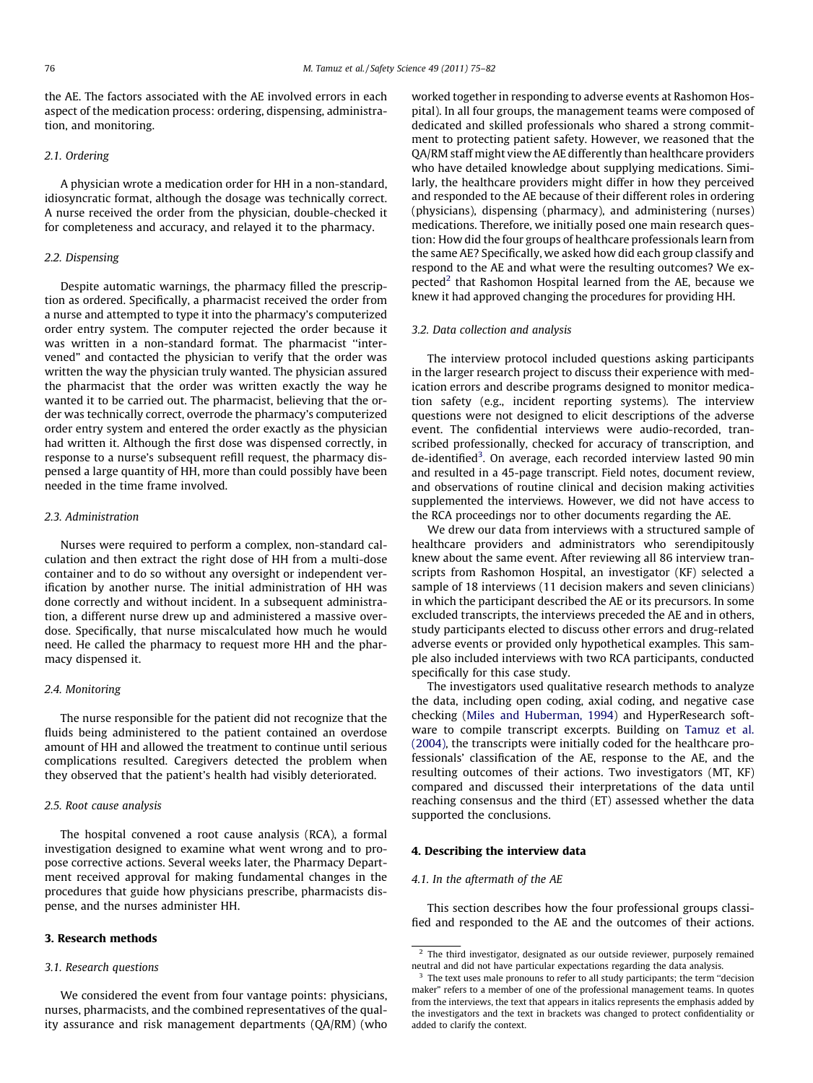the AE. The factors associated with the AE involved errors in each aspect of the medication process: ordering, dispensing, administration, and monitoring.

#### 2.1. Ordering

A physician wrote a medication order for HH in a non-standard, idiosyncratic format, although the dosage was technically correct. A nurse received the order from the physician, double-checked it for completeness and accuracy, and relayed it to the pharmacy.

# 2.2. Dispensing

Despite automatic warnings, the pharmacy filled the prescription as ordered. Specifically, a pharmacist received the order from a nurse and attempted to type it into the pharmacy's computerized order entry system. The computer rejected the order because it was written in a non-standard format. The pharmacist "intervened" and contacted the physician to verify that the order was written the way the physician truly wanted. The physician assured the pharmacist that the order was written exactly the way he wanted it to be carried out. The pharmacist, believing that the order was technically correct, overrode the pharmacy's computerized order entry system and entered the order exactly as the physician had written it. Although the first dose was dispensed correctly, in response to a nurse's subsequent refill request, the pharmacy dispensed a large quantity of HH, more than could possibly have been needed in the time frame involved.

#### 2.3. Administration

Nurses were required to perform a complex, non-standard calculation and then extract the right dose of HH from a multi-dose container and to do so without any oversight or independent verification by another nurse. The initial administration of HH was done correctly and without incident. In a subsequent administration, a different nurse drew up and administered a massive overdose. Specifically, that nurse miscalculated how much he would need. He called the pharmacy to request more HH and the pharmacy dispensed it.

# 2.4. Monitoring

The nurse responsible for the patient did not recognize that the fluids being administered to the patient contained an overdose amount of HH and allowed the treatment to continue until serious complications resulted. Caregivers detected the problem when they observed that the patient's health had visibly deteriorated.

# 2.5. Root cause analysis

The hospital convened a root cause analysis (RCA), a formal investigation designed to examine what went wrong and to propose corrective actions. Several weeks later, the Pharmacy Department received approval for making fundamental changes in the procedures that guide how physicians prescribe, pharmacists dispense, and the nurses administer HH.

# 3. Research methods

## 3.1. Research questions

We considered the event from four vantage points: physicians, nurses, pharmacists, and the combined representatives of the quality assurance and risk management departments (QA/RM) (who worked together in responding to adverse events at Rashomon Hospital). In all four groups, the management teams were composed of dedicated and skilled professionals who shared a strong commitment to protecting patient safety. However, we reasoned that the QA/RM staff might view the AE differently than healthcare providers who have detailed knowledge about supplying medications. Similarly, the healthcare providers might differ in how they perceived and responded to the AE because of their different roles in ordering (physicians), dispensing (pharmacy), and administering (nurses) medications. Therefore, we initially posed one main research question: How did the four groups of healthcare professionals learn from the same AE? Specifically, we asked how did each group classify and respond to the AE and what were the resulting outcomes? We ex $pected<sup>2</sup>$  that Rashomon Hospital learned from the AE, because we knew it had approved changing the procedures for providing HH.

#### 3.2. Data collection and analysis

The interview protocol included questions asking participants in the larger research project to discuss their experience with medication errors and describe programs designed to monitor medication safety (e.g., incident reporting systems). The interview questions were not designed to elicit descriptions of the adverse event. The confidential interviews were audio-recorded, transcribed professionally, checked for accuracy of transcription, and de-identified<sup>3</sup>. On average, each recorded interview lasted 90 min and resulted in a 45-page transcript. Field notes, document review, and observations of routine clinical and decision making activities supplemented the interviews. However, we did not have access to the RCA proceedings nor to other documents regarding the AE.

We drew our data from interviews with a structured sample of healthcare providers and administrators who serendipitously knew about the same event. After reviewing all 86 interview transcripts from Rashomon Hospital, an investigator (KF) selected a sample of 18 interviews (11 decision makers and seven clinicians) in which the participant described the AE or its precursors. In some excluded transcripts, the interviews preceded the AE and in others, study participants elected to discuss other errors and drug-related adverse events or provided only hypothetical examples. This sample also included interviews with two RCA participants, conducted specifically for this case study.

The investigators used qualitative research methods to analyze the data, including open coding, axial coding, and negative case checking [\(Miles and Huberman, 1994\)](#page--1-0) and HyperResearch software to compile transcript excerpts. Building on [Tamuz et al.](#page--1-0) [\(2004\),](#page--1-0) the transcripts were initially coded for the healthcare professionals' classification of the AE, response to the AE, and the resulting outcomes of their actions. Two investigators (MT, KF) compared and discussed their interpretations of the data until reaching consensus and the third (ET) assessed whether the data supported the conclusions.

#### 4. Describing the interview data

#### 4.1. In the aftermath of the AE

This section describes how the four professional groups classified and responded to the AE and the outcomes of their actions.

 $2$  The third investigator, designated as our outside reviewer, purposely remained neutral and did not have particular expectations regarding the data analysis.

<sup>&</sup>lt;sup>3</sup> The text uses male pronouns to refer to all study participants; the term "decision maker" refers to a member of one of the professional management teams. In quotes from the interviews, the text that appears in italics represents the emphasis added by the investigators and the text in brackets was changed to protect confidentiality or added to clarify the context.